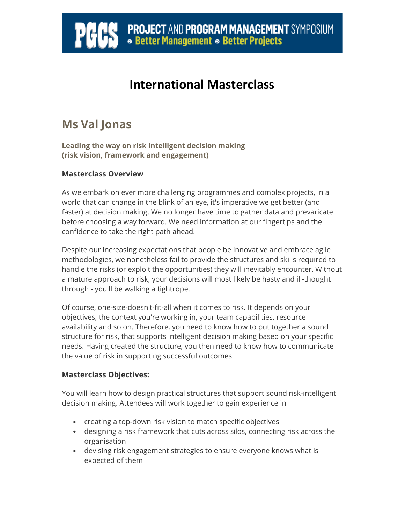## **PROJECT AND PROGRAM MANAGEMENT** SYMPOSIUM<br> **• Better Management • Better Projects**

## **International Masterclass**

### **Ms Val Jonas**

Ï

**Leading the way on risk intelligent decision making (risk vision, framework and engagement)** 

#### **Masterclass Overview**

As we embark on ever more challenging programmes and complex projects, in a world that can change in the blink of an eye, it's imperative we get better (and faster) at decision making. We no longer have time to gather data and prevaricate before choosing a way forward. We need information at our fingertips and the confidence to take the right path ahead.

Despite our increasing expectations that people be innovative and embrace agile methodologies, we nonetheless fail to provide the structures and skills required to handle the risks (or exploit the opportunities) they will inevitably encounter. Without a mature approach to risk, your decisions will most likely be hasty and ill-thought through - you'll be walking a tightrope.

Of course, one-size-doesn't-fit-all when it comes to risk. It depends on your objectives, the context you're working in, your team capabilities, resource availability and so on. Therefore, you need to know how to put together a sound structure for risk, that supports intelligent decision making based on your specific needs. Having created the structure, you then need to know how to communicate the value of risk in supporting successful outcomes.

#### **Masterclass Objectives:**

You will learn how to design practical structures that support sound risk-intelligent decision making. Attendees will work together to gain experience in

- creating a top-down risk vision to match specific objectives
- designing a risk framework that cuts across silos, connecting risk across the organisation
- devising risk engagement strategies to ensure everyone knows what is expected of them